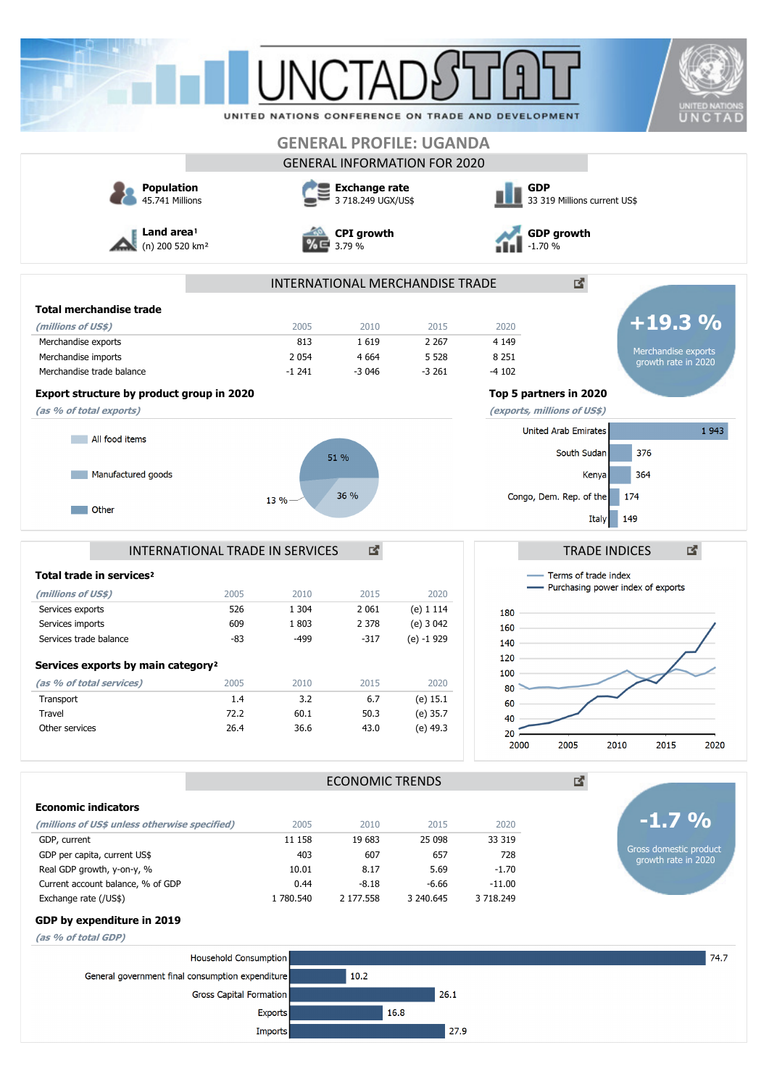|                                                                                               |                                      |                                                                    |                        | <b>GENERAL PROFILE: UGANDA</b>      | UNITED NATIONS CONFERENCE ON TRADE AND DEVELOPMENT                                       |                             |                                               | <b>UNITED NATIONS</b><br>UNCTAD |
|-----------------------------------------------------------------------------------------------|--------------------------------------|--------------------------------------------------------------------|------------------------|-------------------------------------|------------------------------------------------------------------------------------------|-----------------------------|-----------------------------------------------|---------------------------------|
|                                                                                               |                                      |                                                                    |                        | <b>GENERAL INFORMATION FOR 2020</b> |                                                                                          |                             |                                               |                                 |
| <b>Population</b><br>45.741 Millions<br>Land area <sup>1</sup><br>(n) 200 520 km <sup>2</sup> |                                      | Exchange rate<br>3 718.249 UGX/US\$<br><b>CPI</b> growth<br>3.79 % |                        |                                     | <b>GDP</b><br>33 319 Millions current US\$<br><b>GDP growth</b><br>$-1.70%$              |                             |                                               |                                 |
|                                                                                               |                                      |                                                                    |                        |                                     |                                                                                          |                             |                                               |                                 |
| <b>Total merchandise trade</b>                                                                |                                      |                                                                    |                        |                                     |                                                                                          |                             |                                               |                                 |
| (millions of US\$)                                                                            |                                      | 2005                                                               | 2010                   | 2015                                | 2020                                                                                     |                             | $+19.3%$                                      |                                 |
| Merchandise exports                                                                           |                                      | 813                                                                | 1619                   | 2 2 6 7                             | 4 1 4 9<br>8 2 5 1                                                                       |                             | Merchandise exports                           |                                 |
| Merchandise imports<br>Merchandise trade balance                                              |                                      | 2 0 5 4<br>$-1241$                                                 | 4 6 6 4<br>$-3046$     | 5 5 28<br>$-3261$                   | $-4102$                                                                                  |                             | growth rate in 2020                           |                                 |
|                                                                                               |                                      |                                                                    |                        |                                     |                                                                                          |                             |                                               |                                 |
| Export structure by product group in 2020<br>(as % of total exports)                          |                                      |                                                                    |                        |                                     | Top 5 partners in 2020<br>(exports, millions of US\$)                                    |                             |                                               |                                 |
| All food items                                                                                |                                      |                                                                    |                        |                                     |                                                                                          | <b>United Arab Emirates</b> |                                               | 1943                            |
|                                                                                               |                                      |                                                                    |                        |                                     |                                                                                          | South Sudan                 | 376                                           |                                 |
| Manufactured goods                                                                            |                                      |                                                                    | 51 %                   |                                     |                                                                                          | Kenya                       | 364                                           |                                 |
|                                                                                               |                                      |                                                                    | 36 %                   |                                     |                                                                                          | Congo, Dem. Rep. of the     | 174                                           |                                 |
| Other                                                                                         |                                      | 13 %                                                               |                        |                                     |                                                                                          | <b>Italy</b>                | 149                                           |                                 |
| Total trade in services <sup>2</sup>                                                          | 國<br>INTERNATIONAL TRADE IN SERVICES |                                                                    |                        |                                     | 啓<br><b>TRADE INDICES</b><br>Terms of trade index<br>- Purchasing power index of exports |                             |                                               |                                 |
| (millions of US\$)                                                                            | 2005                                 | 2010                                                               | 2015                   | 2020                                |                                                                                          |                             |                                               |                                 |
| Services exports<br>Services imports                                                          | 526<br>609                           | 1 3 0 4<br>1803                                                    | 2 0 6 1<br>2 3 7 8     | (e) 1 1 1 4<br>(e) 3 042            | 180<br>160                                                                               |                             |                                               |                                 |
| Services trade balance                                                                        | $-83$                                | -499                                                               | $-317$                 | (e) -1 929                          | 140                                                                                      |                             |                                               |                                 |
|                                                                                               |                                      |                                                                    |                        |                                     | 120                                                                                      |                             |                                               |                                 |
| Services exports by main category <sup>2</sup>                                                |                                      |                                                                    |                        |                                     | 100                                                                                      |                             |                                               |                                 |
| (as % of total services)<br>Transport                                                         | 2005<br>1.4                          | 2010<br>3.2                                                        | 2015<br>6.7            | 2020<br>$(e)$ 15.1                  | 80                                                                                       |                             |                                               |                                 |
| Travel                                                                                        | 72.2                                 | 60.1                                                               | 50.3                   | (e) 35.7                            | 60<br>40                                                                                 |                             |                                               |                                 |
| Other services                                                                                | 26.4                                 | 36.6                                                               | 43.0                   | (e) 49.3                            | 20                                                                                       |                             |                                               |                                 |
|                                                                                               |                                      |                                                                    |                        |                                     | 2000                                                                                     | 2005                        | 2010<br>2015                                  | 2020                            |
|                                                                                               |                                      |                                                                    | <b>ECONOMIC TRENDS</b> |                                     |                                                                                          | 凶.                          |                                               |                                 |
| <b>Economic indicators</b>                                                                    |                                      |                                                                    |                        |                                     |                                                                                          |                             |                                               |                                 |
| (millions of US\$ unless otherwise specified)                                                 |                                      | 2005                                                               | 2010                   | 2015                                | 2020                                                                                     |                             | $-1.7%$                                       |                                 |
| GDP, current                                                                                  |                                      | 11 158                                                             | 19 683                 | 25 098                              | 33 319                                                                                   |                             |                                               |                                 |
| GDP per capita, current US\$                                                                  |                                      | 403                                                                | 607                    | 657                                 | 728                                                                                      |                             | Gross domestic product<br>growth rate in 2020 |                                 |
| Real GDP growth, y-on-y, %<br>Current account balance, % of GDP                               |                                      | 10.01<br>0.44                                                      | 8.17<br>$-8.18$        | 5.69<br>$-6.66$                     | $-1.70$<br>$-11.00$                                                                      |                             |                                               |                                 |
| Exchange rate (/US\$)                                                                         |                                      | 1 780.540                                                          | 2 177.558              | 3 240.645                           | 3 718.249                                                                                |                             |                                               |                                 |
| GDP by expenditure in 2019                                                                    |                                      |                                                                    |                        |                                     |                                                                                          |                             |                                               |                                 |
| (as % of total GDP)                                                                           |                                      |                                                                    |                        |                                     |                                                                                          |                             |                                               |                                 |
|                                                                                               | <b>Household Consumption</b>         |                                                                    |                        |                                     |                                                                                          |                             |                                               | 74.7                            |
| General government final consumption expenditure                                              |                                      |                                                                    | 10.2                   |                                     |                                                                                          |                             |                                               |                                 |
|                                                                                               | Gross Capital Formation              |                                                                    |                        | 26.1                                |                                                                                          |                             |                                               |                                 |
|                                                                                               |                                      | <b>Exports</b>                                                     |                        | 16.8                                |                                                                                          |                             |                                               |                                 |
|                                                                                               |                                      | Imports                                                            |                        | 27.9                                |                                                                                          |                             |                                               |                                 |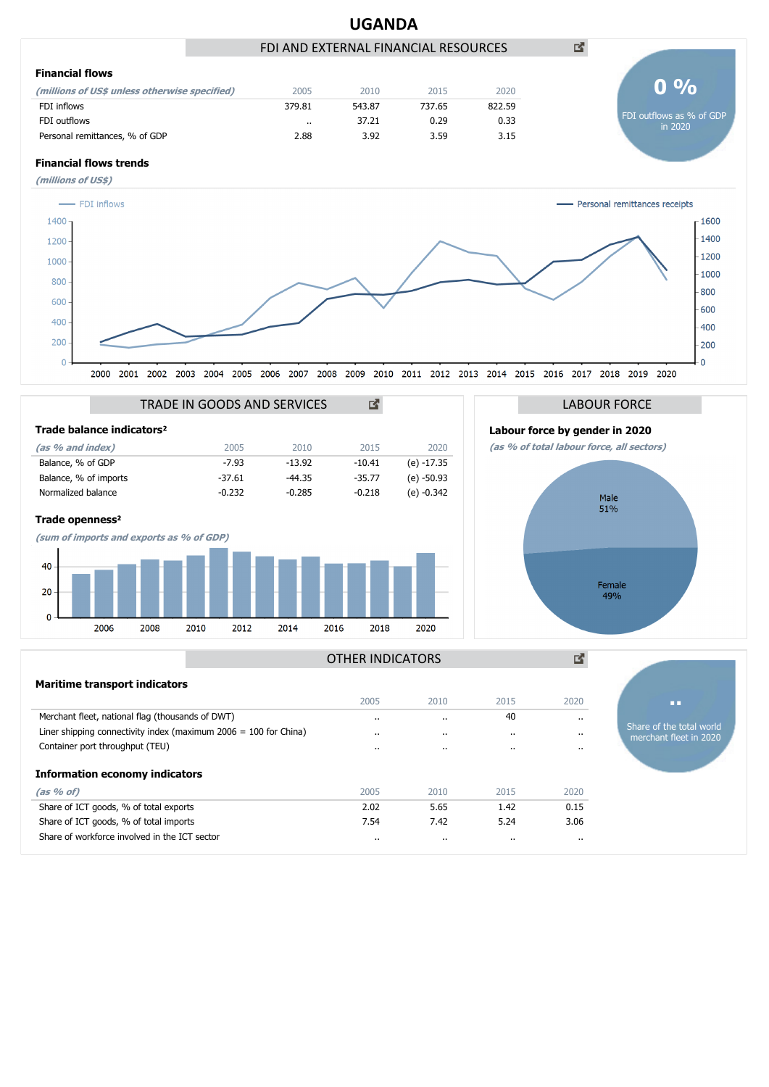

Share of ICT goods, % of total imports **7.54** 7.42 5.24 3.06 Share of workforce involved in the ICT sector .. .. .. ..